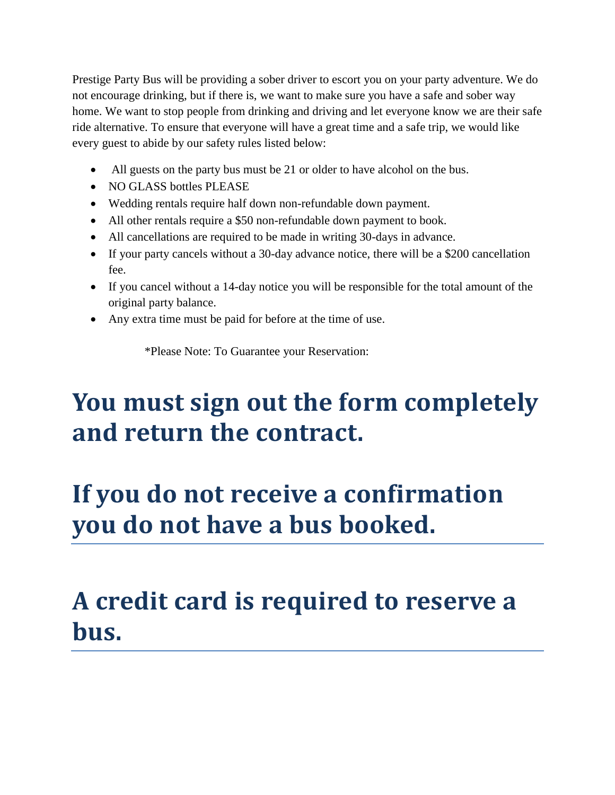Prestige Party Bus will be providing a sober driver to escort you on your party adventure. We do not encourage drinking, but if there is, we want to make sure you have a safe and sober way home. We want to stop people from drinking and driving and let everyone know we are their safe ride alternative. To ensure that everyone will have a great time and a safe trip, we would like every guest to abide by our safety rules listed below:

- All guests on the party bus must be 21 or older to have alcohol on the bus.
- NO GLASS bottles PLEASE
- Wedding rentals require half down non-refundable down payment.
- All other rentals require a \$50 non-refundable down payment to book.
- All cancellations are required to be made in writing 30-days in advance.
- If your party cancels without a 30-day advance notice, there will be a \$200 cancellation fee.
- If you cancel without a 14-day notice you will be responsible for the total amount of the original party balance.
- Any extra time must be paid for before at the time of use.

\*Please Note: To Guarantee your Reservation:

## **You must sign out the form completely and return the contract.**

## **If you do not receive a confirmation you do not have a bus booked.**

## **A credit card is required to reserve a bus.**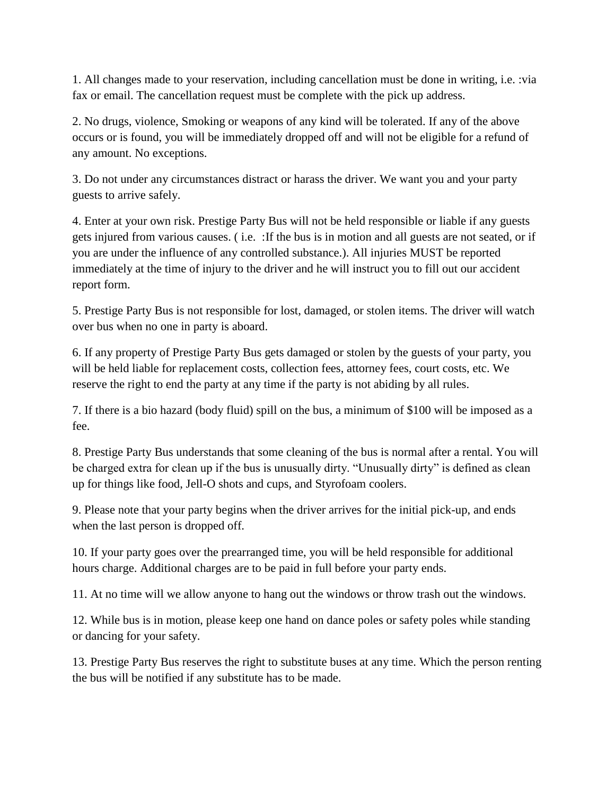1. All changes made to your reservation, including cancellation must be done in writing, i.e. :via fax or email. The cancellation request must be complete with the pick up address.

2. No drugs, violence, Smoking or weapons of any kind will be tolerated. If any of the above occurs or is found, you will be immediately dropped off and will not be eligible for a refund of any amount. No exceptions.

3. Do not under any circumstances distract or harass the driver. We want you and your party guests to arrive safely.

4. Enter at your own risk. Prestige Party Bus will not be held responsible or liable if any guests gets injured from various causes. ( i.e. :If the bus is in motion and all guests are not seated, or if you are under the influence of any controlled substance.). All injuries MUST be reported immediately at the time of injury to the driver and he will instruct you to fill out our accident report form.

5. Prestige Party Bus is not responsible for lost, damaged, or stolen items. The driver will watch over bus when no one in party is aboard.

6. If any property of Prestige Party Bus gets damaged or stolen by the guests of your party, you will be held liable for replacement costs, collection fees, attorney fees, court costs, etc. We reserve the right to end the party at any time if the party is not abiding by all rules.

7. If there is a bio hazard (body fluid) spill on the bus, a minimum of \$100 will be imposed as a fee.

8. Prestige Party Bus understands that some cleaning of the bus is normal after a rental. You will be charged extra for clean up if the bus is unusually dirty. "Unusually dirty" is defined as clean up for things like food, Jell-O shots and cups, and Styrofoam coolers.

9. Please note that your party begins when the driver arrives for the initial pick-up, and ends when the last person is dropped off.

10. If your party goes over the prearranged time, you will be held responsible for additional hours charge. Additional charges are to be paid in full before your party ends.

11. At no time will we allow anyone to hang out the windows or throw trash out the windows.

12. While bus is in motion, please keep one hand on dance poles or safety poles while standing or dancing for your safety.

13. Prestige Party Bus reserves the right to substitute buses at any time. Which the person renting the bus will be notified if any substitute has to be made.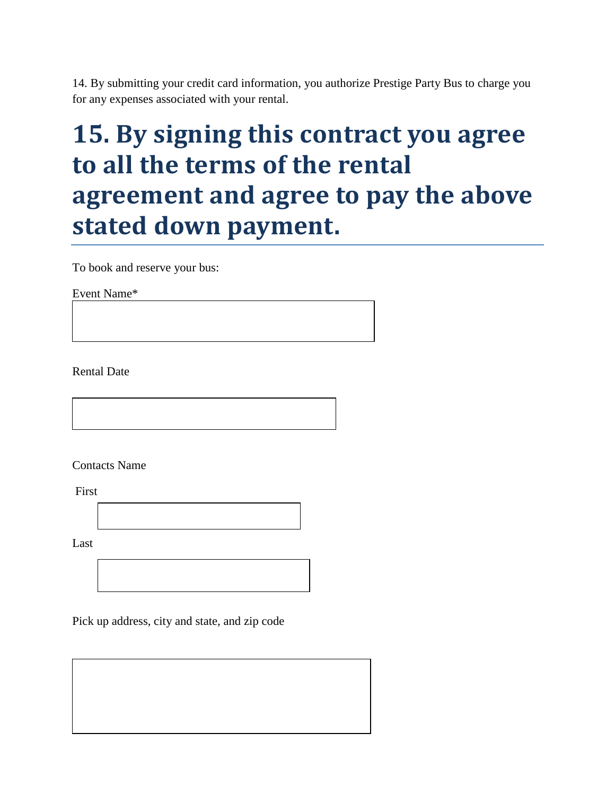14. By submitting your credit card information, you authorize Prestige Party Bus to charge you for any expenses associated with your rental.

## **15. By signing this contract you agree to all the terms of the rental agreement and agree to pay the above stated down payment.**

To book and reserve your bus:

Event Name\*

Rental Date

Contacts Name

First

Last

D

Pick up address, city and state, and zip code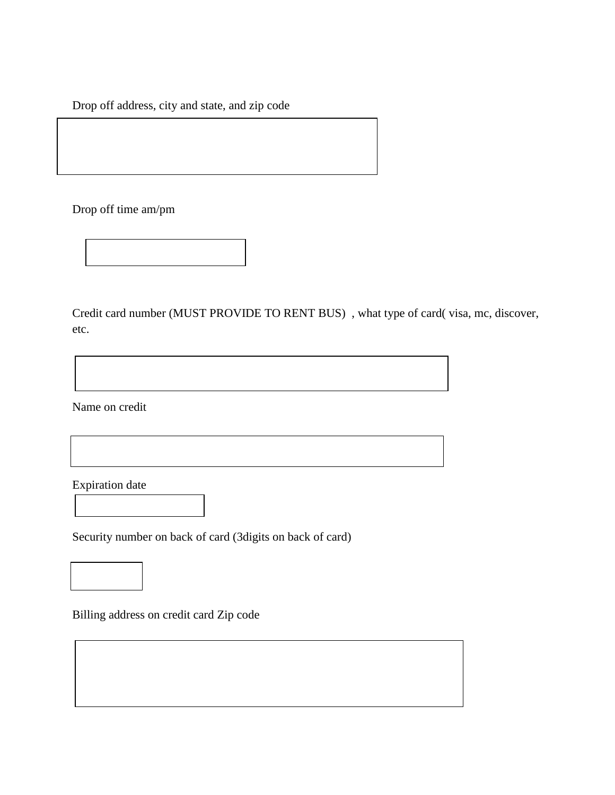Drop off address, city and state, and zip code

Drop off time am/pm

Credit card number (MUST PROVIDE TO RENT BUS) , what type of card( visa, mc, discover, etc.

Name on credit

Expiration date

 $\overline{a}$ 

 $\overline{a}$ 

Security number on back of card (3digits on back of card)

Billing address on credit card Zip code